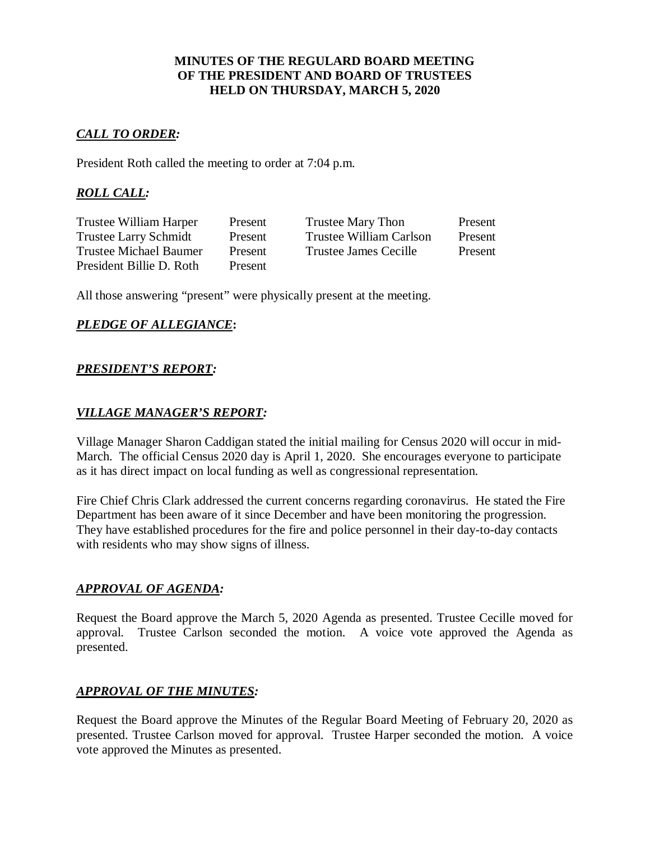### **MINUTES OF THE REGULARD BOARD MEETING OF THE PRESIDENT AND BOARD OF TRUSTEES HELD ON THURSDAY, MARCH 5, 2020**

## *CALL TO ORDER:*

President Roth called the meeting to order at 7:04 p.m.

# *ROLL CALL:*

| Trustee William Harper        | Present | <b>Trustee Mary Thon</b> | Present |
|-------------------------------|---------|--------------------------|---------|
| <b>Trustee Larry Schmidt</b>  | Present | Trustee William Carlson  | Present |
| <b>Trustee Michael Baumer</b> | Present | Trustee James Cecille    | Present |
| President Billie D. Roth      | Present |                          |         |

All those answering "present" were physically present at the meeting.

# *PLEDGE OF ALLEGIANCE***:**

### *PRESIDENT'S REPORT:*

### *VILLAGE MANAGER'S REPORT:*

Village Manager Sharon Caddigan stated the initial mailing for Census 2020 will occur in mid-March. The official Census 2020 day is April 1, 2020. She encourages everyone to participate as it has direct impact on local funding as well as congressional representation.

Fire Chief Chris Clark addressed the current concerns regarding coronavirus. He stated the Fire Department has been aware of it since December and have been monitoring the progression. They have established procedures for the fire and police personnel in their day-to-day contacts with residents who may show signs of illness.

### *APPROVAL OF AGENDA:*

Request the Board approve the March 5, 2020 Agenda as presented. Trustee Cecille moved for approval. Trustee Carlson seconded the motion. A voice vote approved the Agenda as presented.

### *APPROVAL OF THE MINUTES:*

Request the Board approve the Minutes of the Regular Board Meeting of February 20, 2020 as presented. Trustee Carlson moved for approval. Trustee Harper seconded the motion. A voice vote approved the Minutes as presented.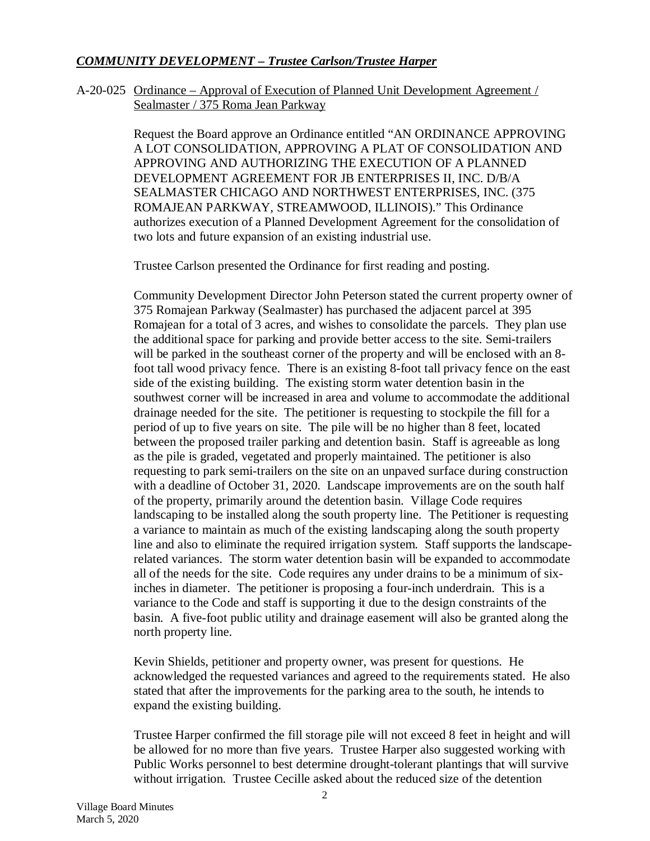### *COMMUNITY DEVELOPMENT – Trustee Carlson/Trustee Harper*

A-20-025 Ordinance – Approval of Execution of Planned Unit Development Agreement / Sealmaster / 375 Roma Jean Parkway

> Request the Board approve an Ordinance entitled "AN ORDINANCE APPROVING A LOT CONSOLIDATION, APPROVING A PLAT OF CONSOLIDATION AND APPROVING AND AUTHORIZING THE EXECUTION OF A PLANNED DEVELOPMENT AGREEMENT FOR JB ENTERPRISES II, INC. D/B/A SEALMASTER CHICAGO AND NORTHWEST ENTERPRISES, INC. (375 ROMAJEAN PARKWAY, STREAMWOOD, ILLINOIS)." This Ordinance authorizes execution of a Planned Development Agreement for the consolidation of two lots and future expansion of an existing industrial use.

Trustee Carlson presented the Ordinance for first reading and posting.

Community Development Director John Peterson stated the current property owner of 375 Romajean Parkway (Sealmaster) has purchased the adjacent parcel at 395 Romajean for a total of 3 acres, and wishes to consolidate the parcels. They plan use the additional space for parking and provide better access to the site. Semi-trailers will be parked in the southeast corner of the property and will be enclosed with an 8 foot tall wood privacy fence. There is an existing 8-foot tall privacy fence on the east side of the existing building. The existing storm water detention basin in the southwest corner will be increased in area and volume to accommodate the additional drainage needed for the site. The petitioner is requesting to stockpile the fill for a period of up to five years on site. The pile will be no higher than 8 feet, located between the proposed trailer parking and detention basin. Staff is agreeable as long as the pile is graded, vegetated and properly maintained. The petitioner is also requesting to park semi-trailers on the site on an unpaved surface during construction with a deadline of October 31, 2020. Landscape improvements are on the south half of the property, primarily around the detention basin. Village Code requires landscaping to be installed along the south property line. The Petitioner is requesting a variance to maintain as much of the existing landscaping along the south property line and also to eliminate the required irrigation system. Staff supports the landscaperelated variances. The storm water detention basin will be expanded to accommodate all of the needs for the site. Code requires any under drains to be a minimum of sixinches in diameter. The petitioner is proposing a four-inch underdrain. This is a variance to the Code and staff is supporting it due to the design constraints of the basin. A five-foot public utility and drainage easement will also be granted along the north property line.

Kevin Shields, petitioner and property owner, was present for questions. He acknowledged the requested variances and agreed to the requirements stated. He also stated that after the improvements for the parking area to the south, he intends to expand the existing building.

Trustee Harper confirmed the fill storage pile will not exceed 8 feet in height and will be allowed for no more than five years. Trustee Harper also suggested working with Public Works personnel to best determine drought-tolerant plantings that will survive without irrigation. Trustee Cecille asked about the reduced size of the detention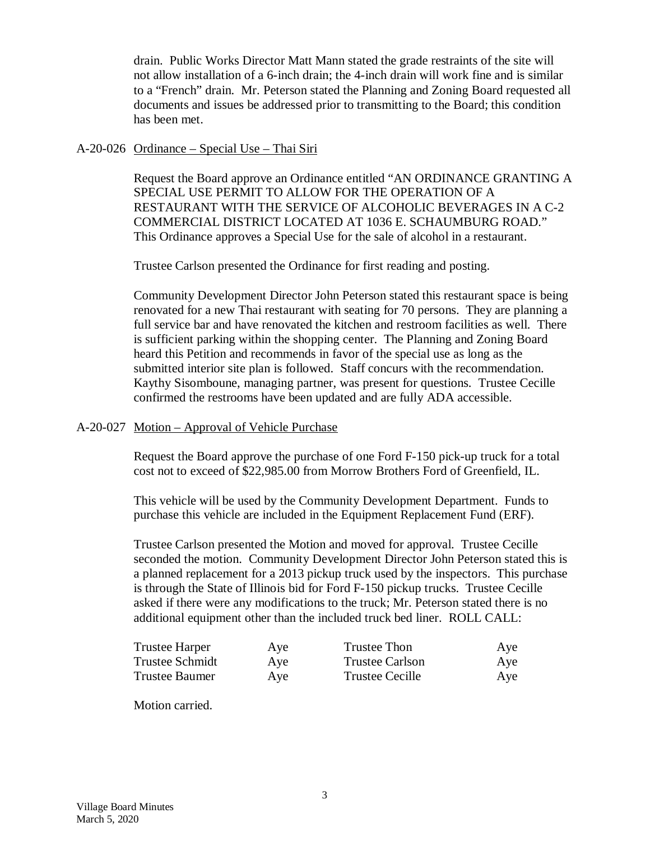drain. Public Works Director Matt Mann stated the grade restraints of the site will not allow installation of a 6-inch drain; the 4-inch drain will work fine and is similar to a "French" drain. Mr. Peterson stated the Planning and Zoning Board requested all documents and issues be addressed prior to transmitting to the Board; this condition has been met.

#### A-20-026 Ordinance – Special Use – Thai Siri

Request the Board approve an Ordinance entitled "AN ORDINANCE GRANTING A SPECIAL USE PERMIT TO ALLOW FOR THE OPERATION OF A RESTAURANT WITH THE SERVICE OF ALCOHOLIC BEVERAGES IN A C-2 COMMERCIAL DISTRICT LOCATED AT 1036 E. SCHAUMBURG ROAD." This Ordinance approves a Special Use for the sale of alcohol in a restaurant.

Trustee Carlson presented the Ordinance for first reading and posting.

Community Development Director John Peterson stated this restaurant space is being renovated for a new Thai restaurant with seating for 70 persons. They are planning a full service bar and have renovated the kitchen and restroom facilities as well. There is sufficient parking within the shopping center. The Planning and Zoning Board heard this Petition and recommends in favor of the special use as long as the submitted interior site plan is followed. Staff concurs with the recommendation. Kaythy Sisomboune, managing partner, was present for questions. Trustee Cecille confirmed the restrooms have been updated and are fully ADA accessible.

#### A-20-027 Motion – Approval of Vehicle Purchase

Request the Board approve the purchase of one Ford F-150 pick-up truck for a total cost not to exceed of \$22,985.00 from Morrow Brothers Ford of Greenfield, IL.

This vehicle will be used by the Community Development Department. Funds to purchase this vehicle are included in the Equipment Replacement Fund (ERF).

Trustee Carlson presented the Motion and moved for approval. Trustee Cecille seconded the motion. Community Development Director John Peterson stated this is a planned replacement for a 2013 pickup truck used by the inspectors. This purchase is through the State of Illinois bid for Ford F-150 pickup trucks. Trustee Cecille asked if there were any modifications to the truck; Mr. Peterson stated there is no additional equipment other than the included truck bed liner. ROLL CALL:

| Trustee Harper  | Aye | Trustee Thon           | Aye |
|-----------------|-----|------------------------|-----|
| Trustee Schmidt | Aye | <b>Trustee Carlson</b> | Aye |
| Trustee Baumer  | Aye | <b>Trustee Cecille</b> | Aye |

Motion carried.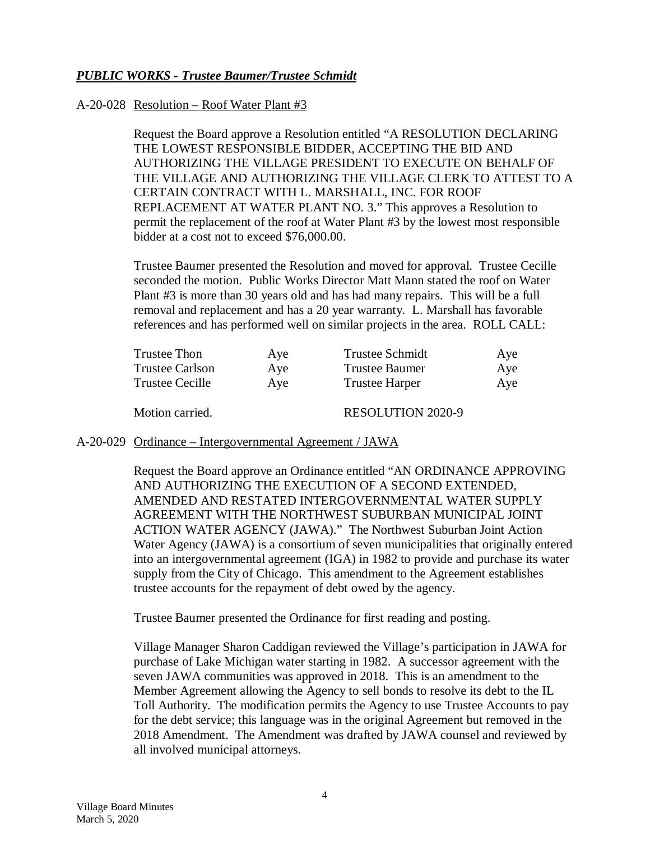# *PUBLIC WORKS - Trustee Baumer/Trustee Schmidt*

#### A-20-028 Resolution – Roof Water Plant #3

Request the Board approve a Resolution entitled "A RESOLUTION DECLARING THE LOWEST RESPONSIBLE BIDDER, ACCEPTING THE BID AND AUTHORIZING THE VILLAGE PRESIDENT TO EXECUTE ON BEHALF OF THE VILLAGE AND AUTHORIZING THE VILLAGE CLERK TO ATTEST TO A CERTAIN CONTRACT WITH L. MARSHALL, INC. FOR ROOF REPLACEMENT AT WATER PLANT NO. 3." This approves a Resolution to permit the replacement of the roof at Water Plant #3 by the lowest most responsible bidder at a cost not to exceed \$76,000.00.

Trustee Baumer presented the Resolution and moved for approval. Trustee Cecille seconded the motion. Public Works Director Matt Mann stated the roof on Water Plant #3 is more than 30 years old and has had many repairs. This will be a full removal and replacement and has a 20 year warranty. L. Marshall has favorable references and has performed well on similar projects in the area. ROLL CALL:

| <b>Trustee Thon</b>    | Aye | <b>Trustee Schmidt</b>   | Aye |
|------------------------|-----|--------------------------|-----|
| <b>Trustee Carlson</b> | Aye | Trustee Baumer           | Aye |
| Trustee Cecille        | Ave | <b>Trustee Harper</b>    | Aye |
| Motion carried.        |     | <b>RESOLUTION 2020-9</b> |     |

#### A-20-029 Ordinance – Intergovernmental Agreement / JAWA

Request the Board approve an Ordinance entitled "AN ORDINANCE APPROVING AND AUTHORIZING THE EXECUTION OF A SECOND EXTENDED, AMENDED AND RESTATED INTERGOVERNMENTAL WATER SUPPLY AGREEMENT WITH THE NORTHWEST SUBURBAN MUNICIPAL JOINT ACTION WATER AGENCY (JAWA)." The Northwest Suburban Joint Action Water Agency (JAWA) is a consortium of seven municipalities that originally entered into an intergovernmental agreement (IGA) in 1982 to provide and purchase its water supply from the City of Chicago. This amendment to the Agreement establishes trustee accounts for the repayment of debt owed by the agency.

Trustee Baumer presented the Ordinance for first reading and posting.

Village Manager Sharon Caddigan reviewed the Village's participation in JAWA for purchase of Lake Michigan water starting in 1982. A successor agreement with the seven JAWA communities was approved in 2018. This is an amendment to the Member Agreement allowing the Agency to sell bonds to resolve its debt to the IL Toll Authority. The modification permits the Agency to use Trustee Accounts to pay for the debt service; this language was in the original Agreement but removed in the 2018 Amendment. The Amendment was drafted by JAWA counsel and reviewed by all involved municipal attorneys.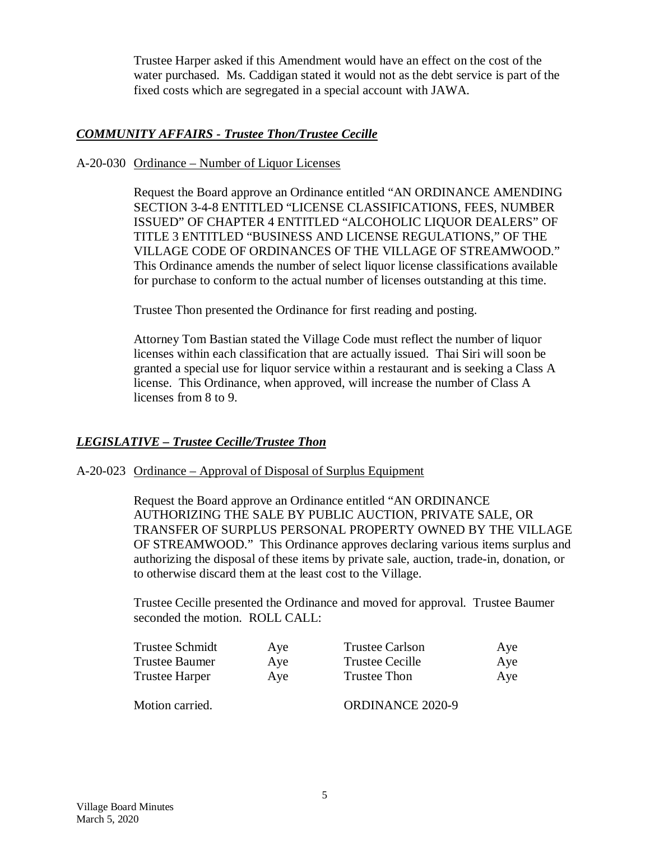Trustee Harper asked if this Amendment would have an effect on the cost of the water purchased. Ms. Caddigan stated it would not as the debt service is part of the fixed costs which are segregated in a special account with JAWA.

## *COMMUNITY AFFAIRS - Trustee Thon/Trustee Cecille*

### A-20-030 Ordinance – Number of Liquor Licenses

Request the Board approve an Ordinance entitled "AN ORDINANCE AMENDING SECTION 3-4-8 ENTITLED "LICENSE CLASSIFICATIONS, FEES, NUMBER ISSUED" OF CHAPTER 4 ENTITLED "ALCOHOLIC LIQUOR DEALERS" OF TITLE 3 ENTITLED "BUSINESS AND LICENSE REGULATIONS," OF THE VILLAGE CODE OF ORDINANCES OF THE VILLAGE OF STREAMWOOD." This Ordinance amends the number of select liquor license classifications available for purchase to conform to the actual number of licenses outstanding at this time.

Trustee Thon presented the Ordinance for first reading and posting.

Attorney Tom Bastian stated the Village Code must reflect the number of liquor licenses within each classification that are actually issued. Thai Siri will soon be granted a special use for liquor service within a restaurant and is seeking a Class A license. This Ordinance, when approved, will increase the number of Class A licenses from 8 to 9.

### *LEGISLATIVE – Trustee Cecille/Trustee Thon*

### A-20-023 Ordinance – Approval of Disposal of Surplus Equipment

Request the Board approve an Ordinance entitled "AN ORDINANCE AUTHORIZING THE SALE BY PUBLIC AUCTION, PRIVATE SALE, OR TRANSFER OF SURPLUS PERSONAL PROPERTY OWNED BY THE VILLAGE OF STREAMWOOD." This Ordinance approves declaring various items surplus and authorizing the disposal of these items by private sale, auction, trade-in, donation, or to otherwise discard them at the least cost to the Village.

Trustee Cecille presented the Ordinance and moved for approval. Trustee Baumer seconded the motion. ROLL CALL:

| Trustee Schmidt | Aye | <b>Trustee Carlson</b>  | Aye |
|-----------------|-----|-------------------------|-----|
| Trustee Baumer  | Aye | <b>Trustee Cecille</b>  | Aye |
| Trustee Harper  | Aye | Trustee Thon            | Aye |
| Motion carried. |     | <b>ORDINANCE 2020-9</b> |     |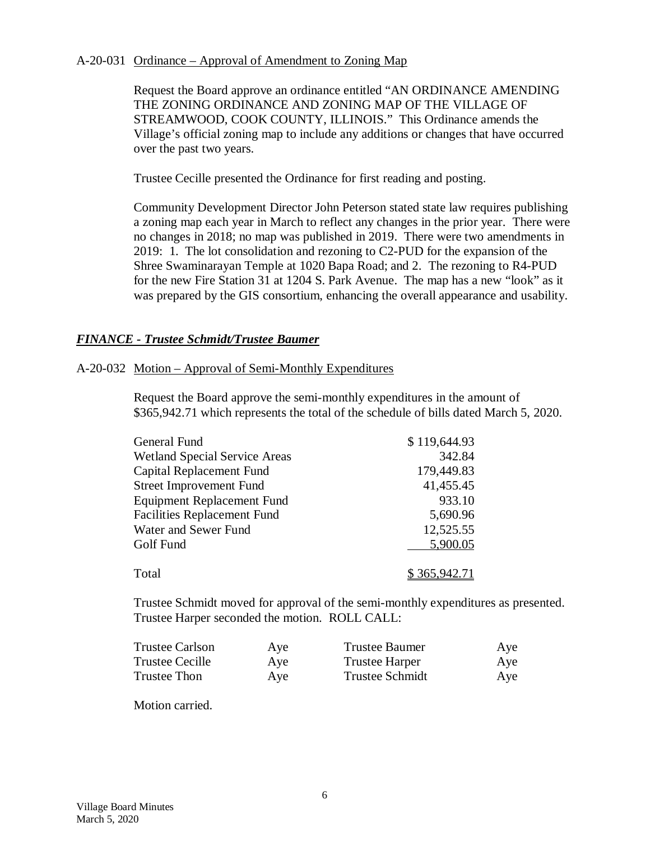#### A-20-031 Ordinance – Approval of Amendment to Zoning Map

Request the Board approve an ordinance entitled "AN ORDINANCE AMENDING THE ZONING ORDINANCE AND ZONING MAP OF THE VILLAGE OF STREAMWOOD, COOK COUNTY, ILLINOIS." This Ordinance amends the Village's official zoning map to include any additions or changes that have occurred over the past two years.

Trustee Cecille presented the Ordinance for first reading and posting.

Community Development Director John Peterson stated state law requires publishing a zoning map each year in March to reflect any changes in the prior year. There were no changes in 2018; no map was published in 2019. There were two amendments in 2019: 1. The lot consolidation and rezoning to C2-PUD for the expansion of the Shree Swaminarayan Temple at 1020 Bapa Road; and 2. The rezoning to R4-PUD for the new Fire Station 31 at 1204 S. Park Avenue. The map has a new "look" as it was prepared by the GIS consortium, enhancing the overall appearance and usability.

### *FINANCE - Trustee Schmidt/Trustee Baumer*

### A-20-032 Motion – Approval of Semi-Monthly Expenditures

Request the Board approve the semi-monthly expenditures in the amount of \$365,942.71 which represents the total of the schedule of bills dated March 5, 2020.

| General Fund                         | \$119,644.93 |
|--------------------------------------|--------------|
| <b>Wetland Special Service Areas</b> | 342.84       |
| Capital Replacement Fund             | 179,449.83   |
| <b>Street Improvement Fund</b>       | 41,455.45    |
| <b>Equipment Replacement Fund</b>    | 933.10       |
| <b>Facilities Replacement Fund</b>   | 5,690.96     |
| Water and Sewer Fund                 | 12,525.55    |
| Golf Fund                            | 5,900.05     |
| Total                                | \$365,942.71 |

Trustee Schmidt moved for approval of the semi-monthly expenditures as presented. Trustee Harper seconded the motion. ROLL CALL:

| Trustee Carlson | Aye | Trustee Baumer         | Aye |
|-----------------|-----|------------------------|-----|
| Trustee Cecille | Aye | <b>Trustee Harper</b>  | Aye |
| Trustee Thon    | Aye | <b>Trustee Schmidt</b> | Aye |

Motion carried.